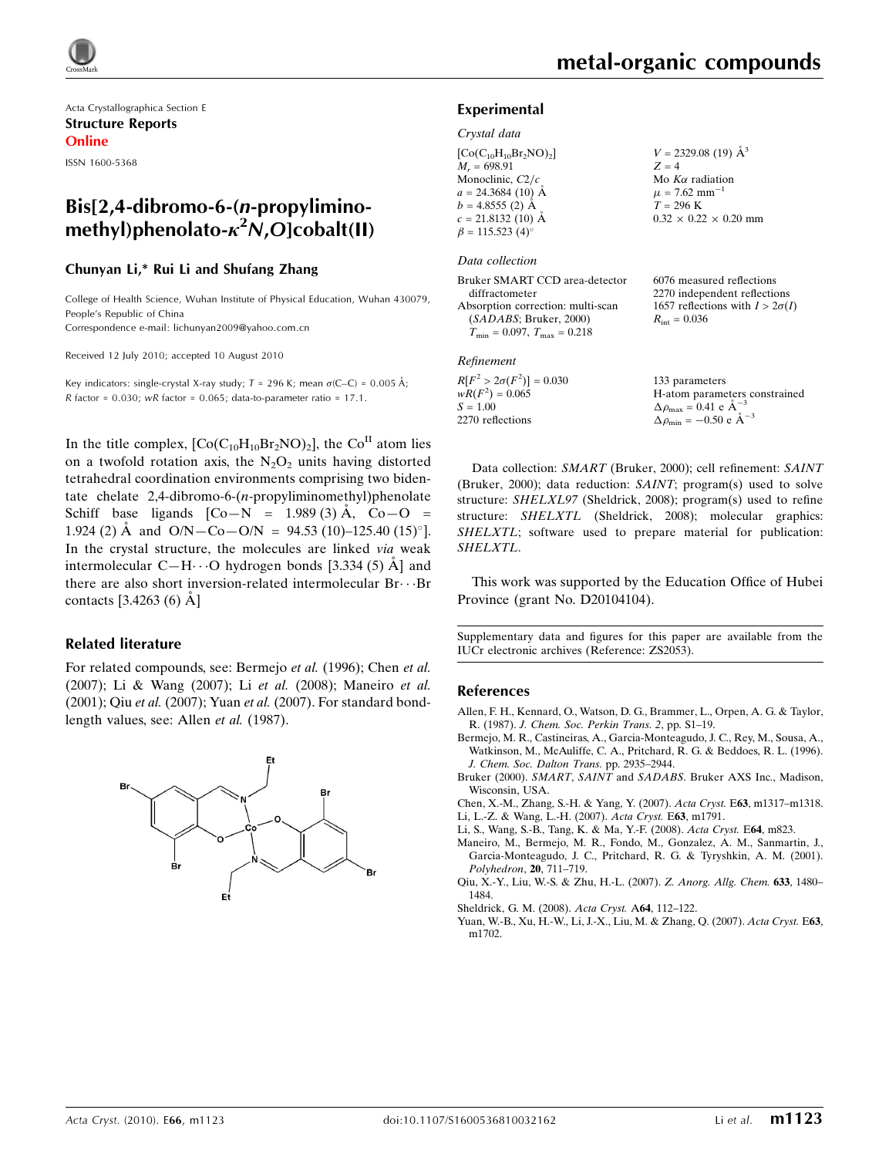Acta Crystallographica Section E Structure Reports Online

ISSN 1600-5368

## Bis[2,4-dibromo-6-(n-propyliminomethyl)phenolato- $\kappa^2 N$ ,O]cobalt(II)

## Chunyan Li,\* Rui Li and Shufang Zhang

College of Health Science, Wuhan Institute of Physical Education, Wuhan 430079, People's Republic of China

Correspondence e-mail: lichunyan2009@yahoo.com.cn

Received 12 July 2010; accepted 10 August 2010

Key indicators: single-crystal X-ray study;  $T = 296$  K; mean  $\sigma$ (C–C) = 0.005 Å; R factor =  $0.030$ ; wR factor =  $0.065$ ; data-to-parameter ratio =  $17.1$ .

In the title complex,  $[Co(C_{10}H_{10}Br_2NO)_2]$ , the  $Co<sup>II</sup>$  atom lies on a twofold rotation axis, the  $N_2O_2$  units having distorted tetrahedral coordination environments comprising two bidentate chelate 2,4-dibromo-6-(n-propyliminomethyl)phenolate Schiff base ligands  $[Co-N = 1.989(3) \text{ Å}, Co-O =$ 1.924 (2) Å and  $O/N - Co - O/N = 94.53$  (10)-125.40 (15)°]. In the crystal structure, the molecules are linked via weak intermolecular C—H $\cdots$ O hydrogen bonds [3.334 (5)  $\AA$ ] and there are also short inversion-related intermolecular  $Br\cdots Br$ contacts  $[3.4263(6) \text{ Å}]$ 

## Related literature

For related compounds, see: Bermejo et al. (1996); Chen et al. (2007); Li & Wang (2007); Li et al. (2008); Maneiro et al. (2001); Qiu et al. (2007); Yuan et al. (2007). For standard bondlength values, see: Allen et al. (1987).



## Experimental

#### Crystal data

| $[Co(C_{10}H_{10}Br_2NO)_2]$ |
|------------------------------|
| $M_r = 698.91$               |
| Monoclinic, $C2/c$           |
| $a = 24.3684(10)$ Å          |
| $b = 4.8555(2)$ Å            |
| $c = 21.8132(10)$ Å          |
| $\beta = 115.523(4)$ °       |

#### Data collection

Bruker SMART CCD area-detector diffractometer Absorption correction: multi-scan (SADABS; Bruker, 2000)  $T_{\text{min}} = 0.097, T_{\text{max}} = 0.218$ 

#### Refinement

 $R[F^2 > 2\sigma(F^2)] = 0.030$  $wR(F^2) = 0.065$  $S = 1.00$ 2270 reflections

 $V = 2329.08$  (19)  $\AA^3$  $Z = 4$ Mo  $K\alpha$  radiation  $\mu$  = 7.62 mm<sup>-1</sup>  $T = 296 K$  $0.32 \times 0.22 \times 0.20$  mm

6076 measured reflections 2270 independent reflections 1657 reflections with  $I > 2\sigma(I)$  $R_{\text{int}} = 0.036$ 

133 parameters H-atom parameters constrained  $\Delta \rho_{\text{max}} = 0.41 \text{ e A}^{-3}$  $\Delta \rho_{\text{min}} = -0.50 \text{ e A}^{-3}$ 

Data collection: SMART (Bruker, 2000); cell refinement: SAINT (Bruker, 2000); data reduction: SAINT; program(s) used to solve structure: SHELXL97 (Sheldrick, 2008); program(s) used to refine structure: SHELXTL (Sheldrick, 2008); molecular graphics: SHELXTL; software used to prepare material for publication: SHELXTL.

This work was supported by the Education Office of Hubei Province (grant No. D20104104).

Supplementary data and figures for this paper are available from the IUCr electronic archives (Reference: ZS2053).

### References

- [Allen, F. H., Kennard, O., Watson, D. G., Brammer, L., Orpen, A. G. & Taylor,](https://scripts.iucr.org/cgi-bin/cr.cgi?rm=pdfbb&cnor=zs2053&bbid=BB1) R. (1987). [J. Chem. Soc. Perkin Trans. 2](https://scripts.iucr.org/cgi-bin/cr.cgi?rm=pdfbb&cnor=zs2053&bbid=BB1), pp. S1–19.
- [Bermejo, M. R., Castineiras, A., Garcia-Monteagudo, J. C., Rey, M., Sousa, A.,](https://scripts.iucr.org/cgi-bin/cr.cgi?rm=pdfbb&cnor=zs2053&bbid=BB2) [Watkinson, M., McAuliffe, C. A., Pritchard, R. G. & Beddoes, R. L. \(1996\).](https://scripts.iucr.org/cgi-bin/cr.cgi?rm=pdfbb&cnor=zs2053&bbid=BB2) [J. Chem. Soc. Dalton Trans.](https://scripts.iucr.org/cgi-bin/cr.cgi?rm=pdfbb&cnor=zs2053&bbid=BB2) pp. 2935–2944.

Bruker (2000). SMART, SAINT and SADABS[. Bruker AXS Inc., Madison,](https://scripts.iucr.org/cgi-bin/cr.cgi?rm=pdfbb&cnor=zs2053&bbid=BB3) [Wisconsin, USA.](https://scripts.iucr.org/cgi-bin/cr.cgi?rm=pdfbb&cnor=zs2053&bbid=BB3)

[Chen, X.-M., Zhang, S.-H. & Yang, Y. \(2007\).](https://scripts.iucr.org/cgi-bin/cr.cgi?rm=pdfbb&cnor=zs2053&bbid=BB4) Acta Cryst. E63, m1317–m1318. [Li, L.-Z. & Wang, L.-H. \(2007\).](https://scripts.iucr.org/cgi-bin/cr.cgi?rm=pdfbb&cnor=zs2053&bbid=BB5) Acta Cryst. E63, m1791.

- [Li, S., Wang, S.-B., Tang, K. & Ma, Y.-F. \(2008\).](https://scripts.iucr.org/cgi-bin/cr.cgi?rm=pdfbb&cnor=zs2053&bbid=BB6) Acta Cryst. E64, m823.
- [Maneiro, M., Bermejo, M. R., Fondo, M., Gonzalez, A. M., Sanmartin, J.,](https://scripts.iucr.org/cgi-bin/cr.cgi?rm=pdfbb&cnor=zs2053&bbid=BB7) [Garcia-Monteagudo, J. C., Pritchard, R. G. & Tyryshkin, A. M. \(2001\).](https://scripts.iucr.org/cgi-bin/cr.cgi?rm=pdfbb&cnor=zs2053&bbid=BB7) [Polyhedron](https://scripts.iucr.org/cgi-bin/cr.cgi?rm=pdfbb&cnor=zs2053&bbid=BB7), 20, 711–719.
- [Qiu, X.-Y., Liu, W.-S. & Zhu, H.-L. \(2007\).](https://scripts.iucr.org/cgi-bin/cr.cgi?rm=pdfbb&cnor=zs2053&bbid=BB8) Z. Anorg. Allg. Chem. 633, 1480– [1484.](https://scripts.iucr.org/cgi-bin/cr.cgi?rm=pdfbb&cnor=zs2053&bbid=BB8)
- [Sheldrick, G. M. \(2008\).](https://scripts.iucr.org/cgi-bin/cr.cgi?rm=pdfbb&cnor=zs2053&bbid=BB9) Acta Cryst. A64, 112–122.
- [Yuan, W.-B., Xu, H.-W., Li, J.-X., Liu, M. & Zhang, Q. \(2007\).](https://scripts.iucr.org/cgi-bin/cr.cgi?rm=pdfbb&cnor=zs2053&bbid=BB10) Acta Cryst. E63, [m1702.](https://scripts.iucr.org/cgi-bin/cr.cgi?rm=pdfbb&cnor=zs2053&bbid=BB10)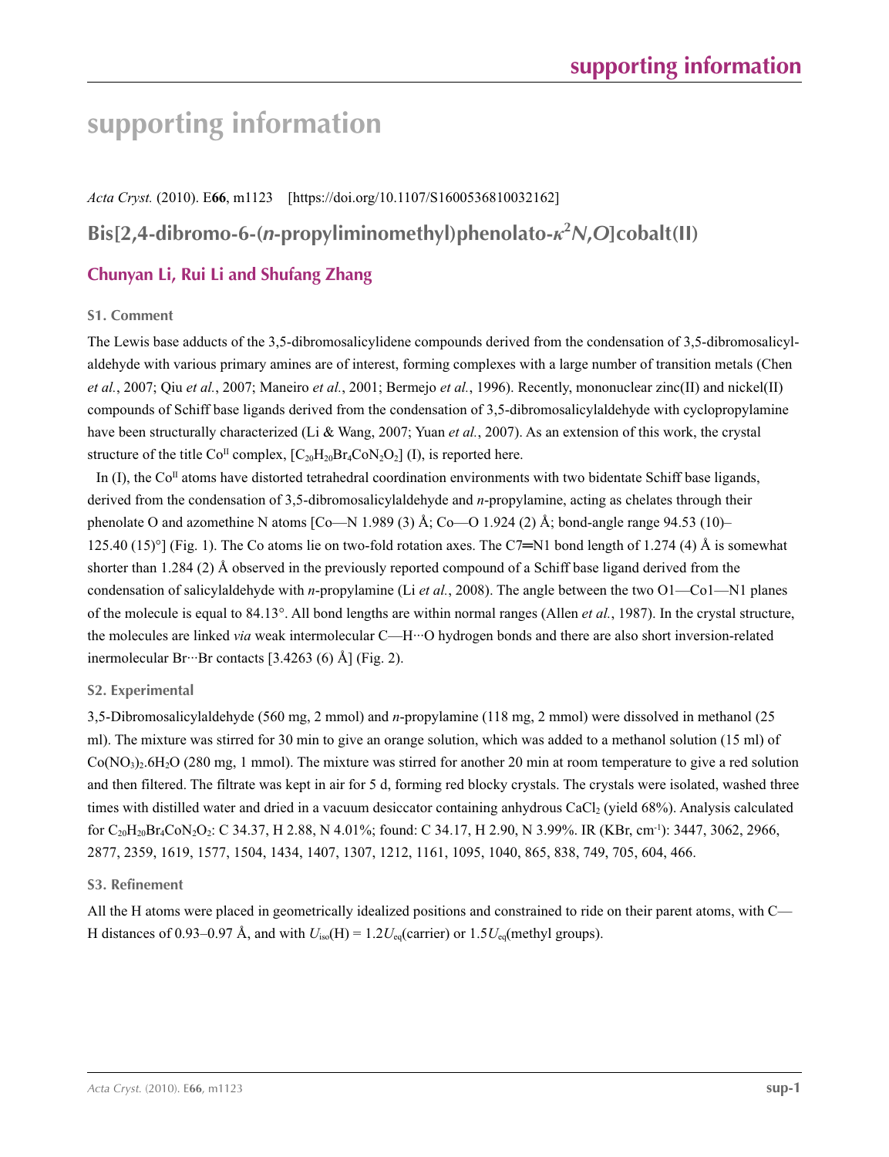# **supporting information**

*Acta Cryst.* (2010). E**66**, m1123 [https://doi.org/10.1107/S1600536810032162]

# **Bis[2,4-dibromo-6-(***n***-propyliminomethyl)phenolato-***κ***<sup>2</sup>** *N***,***O***]cobalt(II)**

## **Chunyan Li, Rui Li and Shufang Zhang**

## **S1. Comment**

The Lewis base adducts of the 3,5-dibromosalicylidene compounds derived from the condensation of 3,5-dibromosalicylaldehyde with various primary amines are of interest, forming complexes with a large number of transition metals (Chen *et al.*, 2007; Qiu *et al.*, 2007; Maneiro *et al.*, 2001; Bermejo *et al.*, 1996). Recently, mononuclear zinc(II) and nickel(II) compounds of Schiff base ligands derived from the condensation of 3,5-dibromosalicylaldehyde with cyclopropylamine have been structurally characterized (Li & Wang, 2007; Yuan *et al.*, 2007). As an extension of this work, the crystal structure of the title Co<sup>II</sup> complex,  $[C_{20}H_{20}Br_4CoN_2O_2]$  (I), is reported here.

In (I), the Co<sup>II</sup> atoms have distorted tetrahedral coordination environments with two bidentate Schiff base ligands, derived from the condensation of 3,5-dibromosalicylaldehyde and *n*-propylamine, acting as chelates through their phenolate O and azomethine N atoms [Co—N 1.989 (3) Å; Co—O 1.924 (2) Å; bond-angle range 94.53 (10)– 125.40 (15)°] (Fig. 1). The Co atoms lie on two-fold rotation axes. The C7=N1 bond length of 1.274 (4) Å is somewhat shorter than 1.284 (2) Å observed in the previously reported compound of a Schiff base ligand derived from the condensation of salicylaldehyde with *n*-propylamine (Li *et al.*, 2008). The angle between the two O1—Co1—N1 planes of the molecule is equal to 84.13°. All bond lengths are within normal ranges (Allen *et al.*, 1987). In the crystal structure, the molecules are linked *via* weak intermolecular C—H···O hydrogen bonds and there are also short inversion-related inermolecular Br···Br contacts [3.4263 (6) Å] (Fig. 2).

## **S2. Experimental**

3,5-Dibromosalicylaldehyde (560 mg, 2 mmol) and *n*-propylamine (118 mg, 2 mmol) were dissolved in methanol (25 ml). The mixture was stirred for 30 min to give an orange solution, which was added to a methanol solution (15 ml) of  $Co(NO<sub>3</sub>)<sub>2</sub>·6H<sub>2</sub>O$  (280 mg, 1 mmol). The mixture was stirred for another 20 min at room temperature to give a red solution and then filtered. The filtrate was kept in air for 5 d, forming red blocky crystals. The crystals were isolated, washed three times with distilled water and dried in a vacuum desiccator containing anhydrous CaCl<sub>2</sub> (yield 68%). Analysis calculated for C20H20Br4CoN2O2: C 34.37, H 2.88, N 4.01%; found: C 34.17, H 2.90, N 3.99%. IR (KBr, cm-1): 3447, 3062, 2966, 2877, 2359, 1619, 1577, 1504, 1434, 1407, 1307, 1212, 1161, 1095, 1040, 865, 838, 749, 705, 604, 466.

### **S3. Refinement**

All the H atoms were placed in geometrically idealized positions and constrained to ride on their parent atoms, with C— H distances of 0.93–0.97 Å, and with  $U_{iso}(H) = 1.2U_{eq}(carrier)$  or  $1.5U_{eq}(metric)$  groups).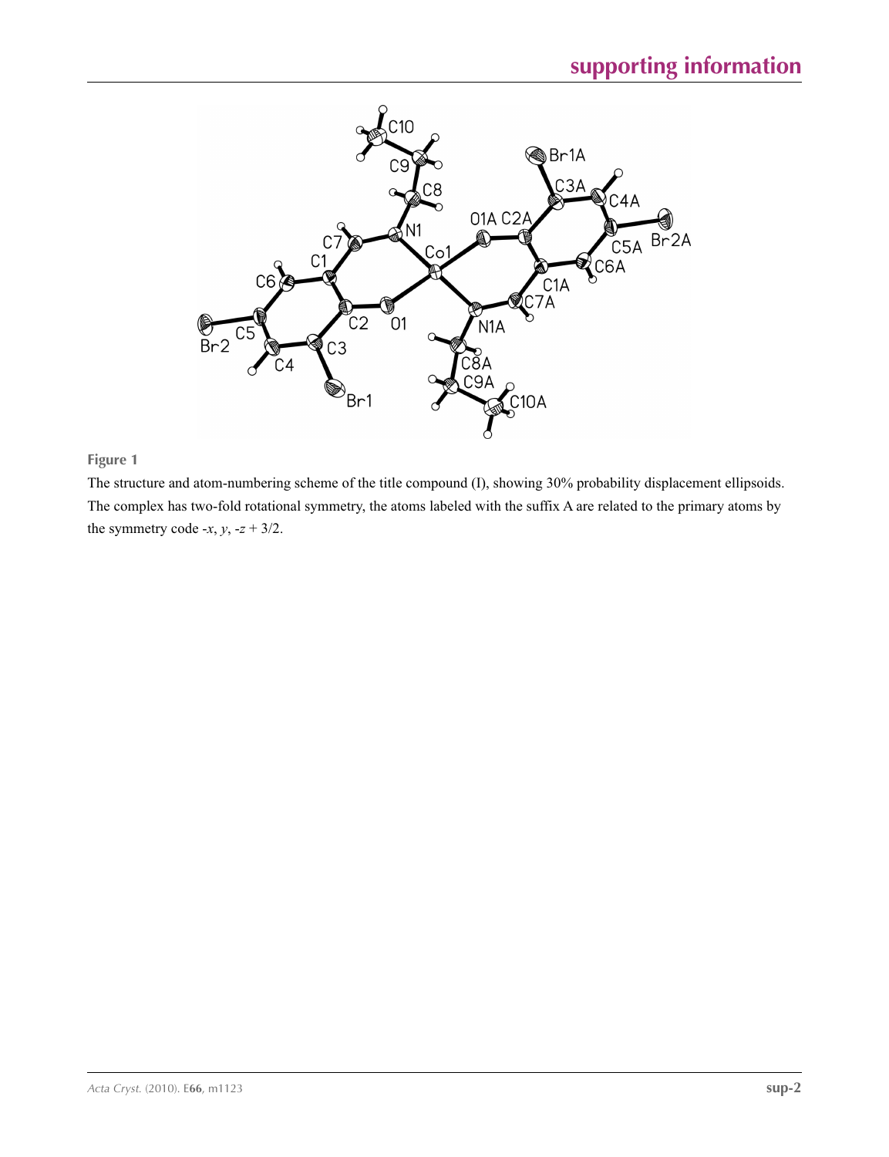

## **Figure 1**

The structure and atom-numbering scheme of the title compound (I), showing 30% probability displacement ellipsoids. The complex has two-fold rotational symmetry, the atoms labeled with the suffix A are related to the primary atoms by the symmetry code  $-x$ ,  $y$ ,  $-z + 3/2$ .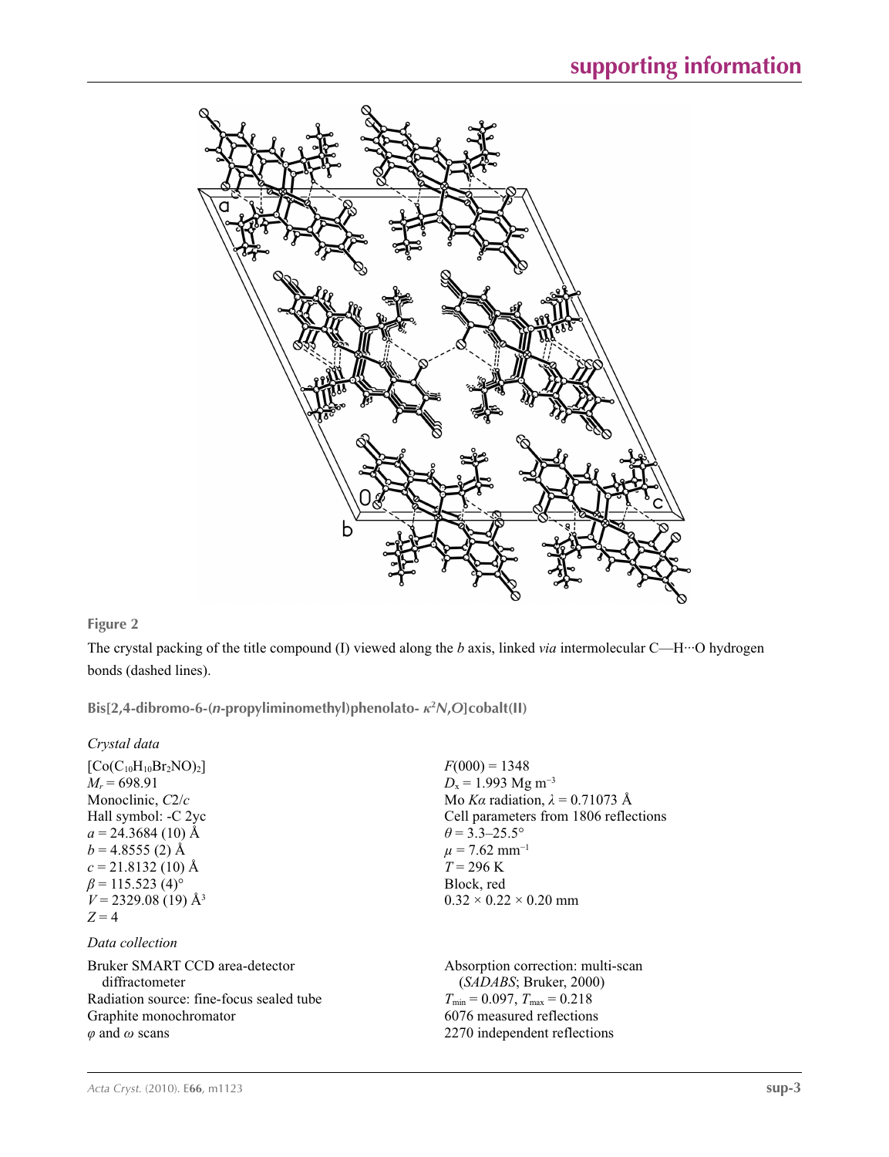

## **Figure 2**

The crystal packing of the title compound (I) viewed along the *b* axis, linked *via* intermolecular C—H···O hydrogen bonds (dashed lines).

**Bis[2,4-dibromo-6-(***n***-propyliminomethyl)phenolato-** *κ***<sup>2</sup>** *N***,***O***]cobalt(II)** 

| Crystal data                                                                                                                                                                                                                                      |                                                                                                                                                                                                                                                                           |
|---------------------------------------------------------------------------------------------------------------------------------------------------------------------------------------------------------------------------------------------------|---------------------------------------------------------------------------------------------------------------------------------------------------------------------------------------------------------------------------------------------------------------------------|
| $[Co(C_{10}H_{10}Br_2NO)_2]$<br>$M_r = 698.91$<br>Monoclinic, $C2/c$<br>Hall symbol: -C 2yc<br>$a = 24.3684(10)$ Å<br>$b = 4.8555(2)$ Å<br>$c = 21.8132(10)$ Å<br>$\beta$ = 115.523 (4) <sup>o</sup><br>$V = 2329.08(19)$ Å <sup>3</sup><br>$Z=4$ | $F(000) = 1348$<br>$D_x = 1.993$ Mg m <sup>-3</sup><br>Mo Ka radiation, $\lambda = 0.71073$ Å<br>Cell parameters from 1806 reflections<br>$\theta$ = 3.3–25.5°<br>$\mu$ = 7.62 mm <sup>-1</sup><br>$T = 296 \text{ K}$<br>Block, red<br>$0.32 \times 0.22 \times 0.20$ mm |
| Data collection                                                                                                                                                                                                                                   |                                                                                                                                                                                                                                                                           |
| Bruker SMART CCD area-detector<br>diffractometer<br>Radiation source: fine-focus sealed tube                                                                                                                                                      | Absorption correction: multi-scan<br>(SADABS; Bruker, 2000)<br>$T_{\min}$ = 0.097, $T_{\max}$ = 0.218                                                                                                                                                                     |
|                                                                                                                                                                                                                                                   | 6076 measured reflections                                                                                                                                                                                                                                                 |
| Graphite monochromator                                                                                                                                                                                                                            |                                                                                                                                                                                                                                                                           |
| $\varphi$ and $\omega$ scans                                                                                                                                                                                                                      | 2270 independent reflections                                                                                                                                                                                                                                              |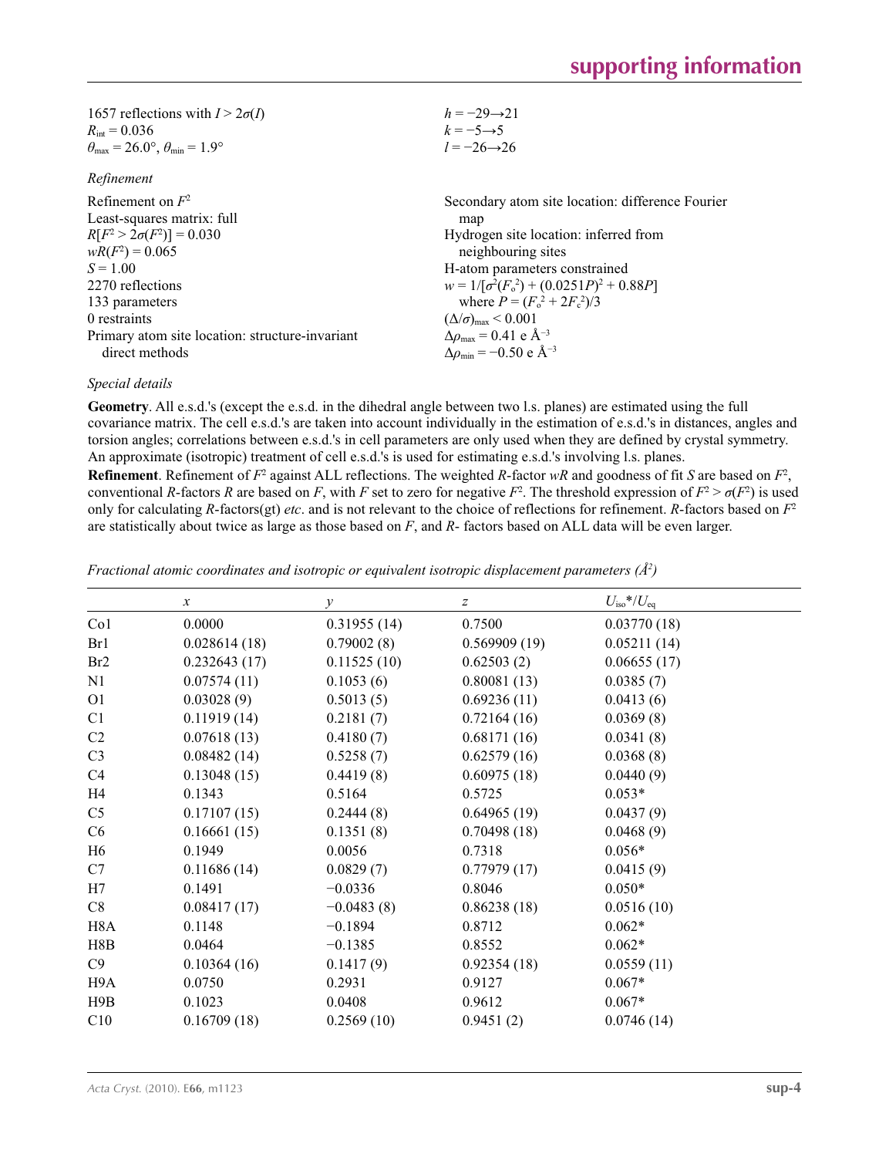| 1657 reflections with $I > 2\sigma(I)$                                  | $h = -29 \rightarrow 21$                                    |
|-------------------------------------------------------------------------|-------------------------------------------------------------|
| $R_{\text{int}} = 0.036$                                                | $k = -5 \rightarrow 5$                                      |
| $\theta_{\text{max}} = 26.0^{\circ}, \theta_{\text{min}} = 1.9^{\circ}$ | $l = -26 \rightarrow 26$                                    |
| Refinement                                                              |                                                             |
| Refinement on $F^2$                                                     | Secondary atom site location: difference Fourier            |
| Least-squares matrix: full                                              | map                                                         |
| $R[F^2 > 2\sigma(F^2)] = 0.030$                                         | Hydrogen site location: inferred from                       |
| $wR(F^2) = 0.065$                                                       | neighbouring sites                                          |
| $S = 1.00$                                                              | H-atom parameters constrained                               |
| 2270 reflections                                                        | $w = 1/[\sigma^2(F_0^2) + (0.0251P)^2 + 0.88P]$             |
| 133 parameters                                                          | where $P = (F_0^2 + 2F_s^2)/3$                              |
| 0 restraints                                                            | $(\Delta/\sigma)_{\text{max}}$ < 0.001                      |
| Primary atom site location: structure-invariant                         | $\Delta\rho_{\text{max}} = 0.41 \text{ e } \text{\AA}^{-3}$ |
| direct methods                                                          | $\Delta \rho_{\rm min} = -0.50 \text{ e } \text{\AA}^{-3}$  |

## *Special details*

**Geometry**. All e.s.d.'s (except the e.s.d. in the dihedral angle between two l.s. planes) are estimated using the full covariance matrix. The cell e.s.d.'s are taken into account individually in the estimation of e.s.d.'s in distances, angles and torsion angles; correlations between e.s.d.'s in cell parameters are only used when they are defined by crystal symmetry. An approximate (isotropic) treatment of cell e.s.d.'s is used for estimating e.s.d.'s involving l.s. planes.

**Refinement**. Refinement of  $F^2$  against ALL reflections. The weighted R-factor wR and goodness of fit *S* are based on  $F^2$ , conventional *R*-factors *R* are based on *F*, with *F* set to zero for negative  $F^2$ . The threshold expression of  $F^2 > \sigma(F^2)$  is used only for calculating *R*-factors(gt) *etc*. and is not relevant to the choice of reflections for refinement. *R*-factors based on *F*<sup>2</sup> are statistically about twice as large as those based on *F*, and *R*- factors based on ALL data will be even larger.

|                  | $\boldsymbol{\chi}$ | $\mathcal{Y}$ | $\boldsymbol{Z}$ | $U_{\rm iso}$ */ $U_{\rm eq}$ |
|------------------|---------------------|---------------|------------------|-------------------------------|
| Co <sub>1</sub>  | 0.0000              | 0.31955(14)   | 0.7500           | 0.03770(18)                   |
| Br1              | 0.028614(18)        | 0.79002(8)    | 0.569909(19)     | 0.05211(14)                   |
| Br2              | 0.232643(17)        | 0.11525(10)   | 0.62503(2)       | 0.06655(17)                   |
| N1               | 0.07574(11)         | 0.1053(6)     | 0.80081(13)      | 0.0385(7)                     |
| O <sub>1</sub>   | 0.03028(9)          | 0.5013(5)     | 0.69236(11)      | 0.0413(6)                     |
| C1               | 0.11919(14)         | 0.2181(7)     | 0.72164(16)      | 0.0369(8)                     |
| C <sub>2</sub>   | 0.07618(13)         | 0.4180(7)     | 0.68171(16)      | 0.0341(8)                     |
| C <sub>3</sub>   | 0.08482(14)         | 0.5258(7)     | 0.62579(16)      | 0.0368(8)                     |
| C4               | 0.13048(15)         | 0.4419(8)     | 0.60975(18)      | 0.0440(9)                     |
| H4               | 0.1343              | 0.5164        | 0.5725           | $0.053*$                      |
| C <sub>5</sub>   | 0.17107(15)         | 0.2444(8)     | 0.64965(19)      | 0.0437(9)                     |
| C6               | 0.16661(15)         | 0.1351(8)     | 0.70498(18)      | 0.0468(9)                     |
| H6               | 0.1949              | 0.0056        | 0.7318           | $0.056*$                      |
| C7               | 0.11686(14)         | 0.0829(7)     | 0.77979(17)      | 0.0415(9)                     |
| H7               | 0.1491              | $-0.0336$     | 0.8046           | $0.050*$                      |
| C8               | 0.08417(17)         | $-0.0483(8)$  | 0.86238(18)      | 0.0516(10)                    |
| H <sub>8</sub> A | 0.1148              | $-0.1894$     | 0.8712           | $0.062*$                      |
| H8B              | 0.0464              | $-0.1385$     | 0.8552           | $0.062*$                      |
| C9               | 0.10364(16)         | 0.1417(9)     | 0.92354(18)      | 0.0559(11)                    |
| H9A              | 0.0750              | 0.2931        | 0.9127           | $0.067*$                      |
| H9B              | 0.1023              | 0.0408        | 0.9612           | $0.067*$                      |
| C10              | 0.16709(18)         | 0.2569(10)    | 0.9451(2)        | 0.0746(14)                    |

*Fractional atomic coordinates and isotropic or equivalent isotropic displacement parameters (Å2 )*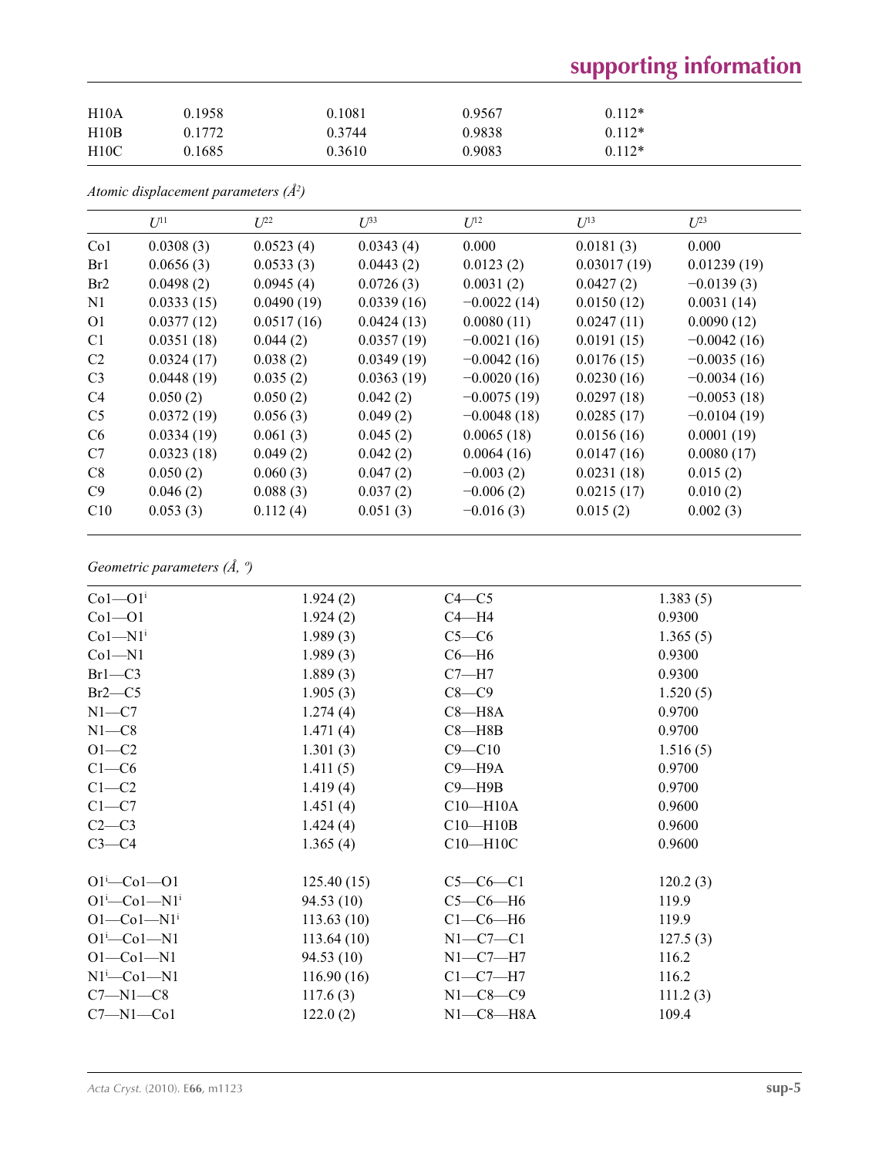# **supporting information**

| H10A | 0.1958 | 0.1081 | 0.9567 | $0.112*$ |
|------|--------|--------|--------|----------|
| H10B | 0.1772 | 0.3744 | 0.9838 | $0.112*$ |
| H10C | 0.1685 | 0.3610 | 0.9083 | $0.112*$ |

*Atomic displacement parameters (Å2 )*

|                | $U^{11}$   | $L^{22}$   | $U^{33}$   | $U^{12}$      | $U^{13}$    | $U^{23}$      |
|----------------|------------|------------|------------|---------------|-------------|---------------|
| Co1            | 0.0308(3)  | 0.0523(4)  | 0.0343(4)  | 0.000         | 0.0181(3)   | 0.000         |
| Br1            | 0.0656(3)  | 0.0533(3)  | 0.0443(2)  | 0.0123(2)     | 0.03017(19) | 0.01239(19)   |
| Br2            | 0.0498(2)  | 0.0945(4)  | 0.0726(3)  | 0.0031(2)     | 0.0427(2)   | $-0.0139(3)$  |
| N1             | 0.0333(15) | 0.0490(19) | 0.0339(16) | $-0.0022(14)$ | 0.0150(12)  | 0.0031(14)    |
| O <sub>1</sub> | 0.0377(12) | 0.0517(16) | 0.0424(13) | 0.0080(11)    | 0.0247(11)  | 0.0090(12)    |
| C <sub>1</sub> | 0.0351(18) | 0.044(2)   | 0.0357(19) | $-0.0021(16)$ | 0.0191(15)  | $-0.0042(16)$ |
| C <sub>2</sub> | 0.0324(17) | 0.038(2)   | 0.0349(19) | $-0.0042(16)$ | 0.0176(15)  | $-0.0035(16)$ |
| C <sub>3</sub> | 0.0448(19) | 0.035(2)   | 0.0363(19) | $-0.0020(16)$ | 0.0230(16)  | $-0.0034(16)$ |
| C <sub>4</sub> | 0.050(2)   | 0.050(2)   | 0.042(2)   | $-0.0075(19)$ | 0.0297(18)  | $-0.0053(18)$ |
| C <sub>5</sub> | 0.0372(19) | 0.056(3)   | 0.049(2)   | $-0.0048(18)$ | 0.0285(17)  | $-0.0104(19)$ |
| C <sub>6</sub> | 0.0334(19) | 0.061(3)   | 0.045(2)   | 0.0065(18)    | 0.0156(16)  | 0.0001(19)    |
| C7             | 0.0323(18) | 0.049(2)   | 0.042(2)   | 0.0064(16)    | 0.0147(16)  | 0.0080(17)    |
| C8             | 0.050(2)   | 0.060(3)   | 0.047(2)   | $-0.003(2)$   | 0.0231(18)  | 0.015(2)      |
| C9             | 0.046(2)   | 0.088(3)   | 0.037(2)   | $-0.006(2)$   | 0.0215(17)  | 0.010(2)      |
| C10            | 0.053(3)   | 0.112(4)   | 0.051(3)   | $-0.016(3)$   | 0.015(2)    | 0.002(3)      |

## *Geometric parameters (Å, º)*

| $Co1 - O1i$                   | 1.924(2)   | $C4 - C5$      | 1.383(5) |
|-------------------------------|------------|----------------|----------|
| $Co1 - O1$                    | 1.924(2)   | $C4 - H4$      | 0.9300   |
| $Co1-M1i$                     | 1.989(3)   | $C5-C6$        | 1.365(5) |
| $Co1 - N1$                    | 1.989(3)   | $C6 - H6$      | 0.9300   |
| $Br1-C3$                      | 1.889(3)   | $C7 - H7$      | 0.9300   |
| $Br2-C5$                      | 1.905(3)   | $C8-C9$        | 1.520(5) |
| $N1 - C7$                     | 1.274(4)   | $C8 - H8A$     | 0.9700   |
| $N1 - C8$                     | 1.471(4)   | $C8 - H8B$     | 0.9700   |
| $O1-C2$                       | 1.301(3)   | $C9 - C10$     | 1.516(5) |
| $C1-C6$                       | 1.411(5)   | $C9 - H9A$     | 0.9700   |
| $C1-C2$                       | 1.419(4)   | $C9 - H9B$     | 0.9700   |
| $C1-C7$                       | 1.451(4)   | $C10 - H10A$   | 0.9600   |
| $C2-C3$                       | 1.424(4)   | $C10 - H10B$   | 0.9600   |
| $C3-C4$                       | 1.365(4)   | $C10 - H10C$   | 0.9600   |
| $O1 - Co1 - O1$               | 125.40(15) | $C5-C6-C1$     | 120.2(3) |
| $O1^i$ -Co $1$ -N $1^i$       | 94.53(10)  | $C5-C6-H6$     | 119.9    |
| $O1 - Co1 - N1$ <sup>i</sup>  | 113.63(10) | $C1-C6-H6$     | 119.9    |
| $O1^i$ -Co $1$ -N $1$         | 113.64(10) | $N1-C7-C1$     | 127.5(3) |
| $O1 - Co1 - N1$               | 94.53(10)  | $N1-C7-H7$     | 116.2    |
| $N1$ <sup>i</sup> -Co $1$ -N1 | 116.90(16) | $C1-C7-H7$     | 116.2    |
| $C7 - N1 - C8$                | 117.6(3)   | $N1 - C8 - C9$ | 111.2(3) |
| $C7 - N1 - Co1$               | 122.0(2)   | $N1-C8-H8A$    | 109.4    |
|                               |            |                |          |